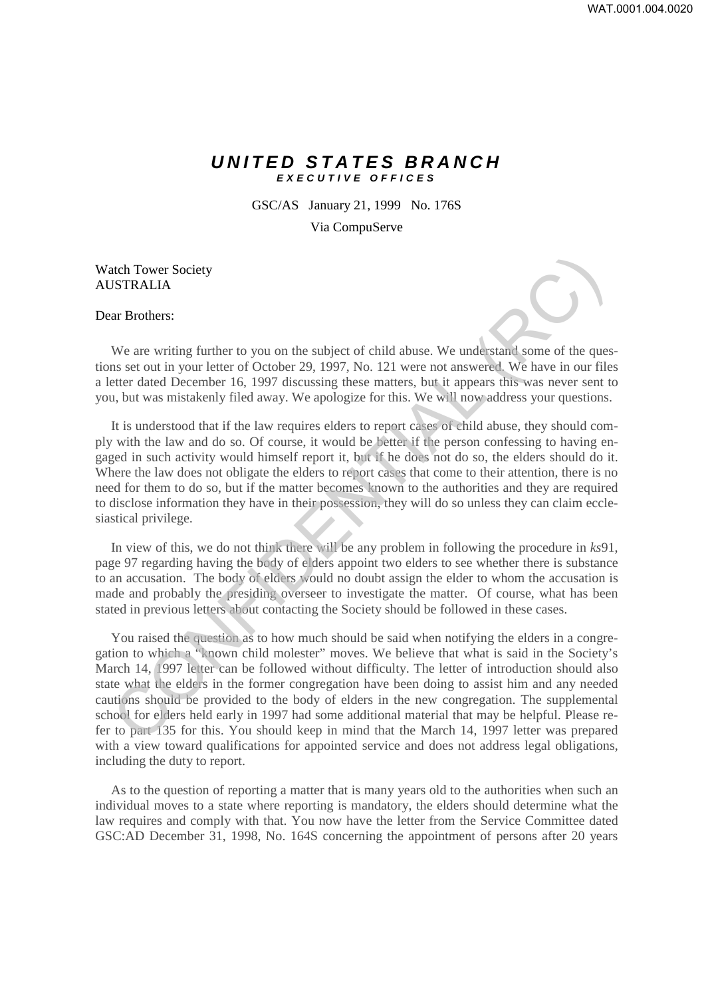## *UNITED STATES BRANCH EXECUTIVE OFFICES*

GSC/AS January 21, 1999 No. 176S

Via CompuServe

## Watch Tower Society AUSTRALIA

## Dear Brothers:

We are writing further to you on the subject of child abuse. We understand some of the questions set out in your letter of October 29, 1997, No. 121 were not answered. We have in our files a letter dated December 16, 1997 discussing these matters, but it appears this was never sent to you, but was mistakenly filed away. We apologize for this. We will now address your questions.

It is understood that if the law requires elders to report cases of child abuse, they should comply with the law and do so. Of course, it would be better if the person confessing to having engaged in such activity would himself report it, but if he does not do so, the elders should do it. Where the law does not obligate the elders to report cases that come to their attention, there is no need for them to do so, but if the matter becomes known to the authorities and they are required to disclose information they have in their possession, they will do so unless they can claim ecclesiastical privilege.

In view of this, we do not think there will be any problem in following the procedure in *ks*91, page 97 regarding having the body of elders appoint two elders to see whether there is substance to an accusation. The body of elders would no doubt assign the elder to whom the accusation is made and probably the presiding overseer to investigate the matter. Of course, what has been stated in previous letters about contacting the Society should be followed in these cases.

You raised the question as to how much should be said when notifying the elders in a congregation to which a "known child molester" moves. We believe that what is said in the Society's March 14, 1997 letter can be followed without difficulty. The letter of introduction should also state what the elders in the former congregation have been doing to assist him and any needed cautions should be provided to the body of elders in the new congregation. The supplemental school for elders held early in 1997 had some additional material that may be helpful. Please refer to part 135 for this. You should keep in mind that the March 14, 1997 letter was prepared with a view toward qualifications for appointed service and does not address legal obligations, including the duty to report. atch Tower Society<br>
We are writing further to you on the subject of child abuse. We understand some of the questions<br>
we are writing further to you on the subject of child abuse. We understand some of the quest<br>
extert dat

As to the question of reporting a matter that is many years old to the authorities when such an individual moves to a state where reporting is mandatory, the elders should determine what the law requires and comply with that. You now have the letter from the Service Committee dated GSC:AD December 31, 1998, No. 164S concerning the appointment of persons after 20 years